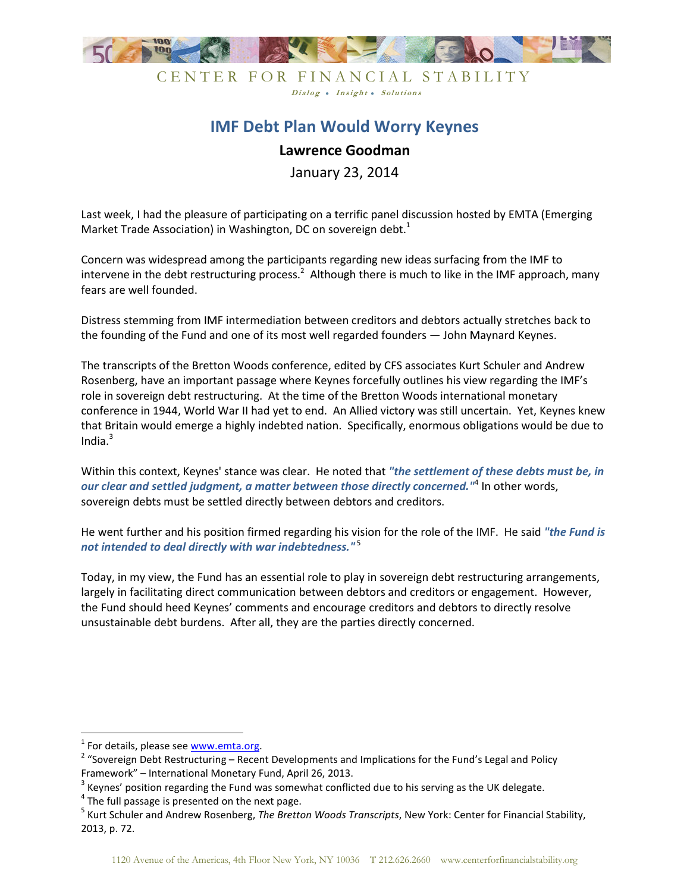

CENTER FOR FINANCIAL STABILITY Dialog . Insight . Solutions

## **IMF Debt Plan Would Worry Keynes**

## **Lawrence Goodman**

January 23, 2014

Last week, I had the pleasure of participating on a terrific panel discussion hosted by EMTA (Emerging Market Trade Association) in Washington, DC on sovereign debt. $<sup>1</sup>$ </sup>

Concern was widespread among the participants regarding new ideas surfacing from the IMF to intervene in the debt restructuring process.<sup>2</sup> Although there is much to like in the IMF approach, many fears are well founded.

Distress stemming from IMF intermediation between creditors and debtors actually stretches back to the founding of the Fund and one of its most well regarded founders — John Maynard Keynes.

The transcripts of the Bretton Woods conference, edited by CFS associates Kurt Schuler and Andrew Rosenberg, have an important passage where Keynes forcefully outlines his view regarding the IMF's role in sovereign debt restructuring. At the time of the Bretton Woods international monetary conference in 1944, World War II had yet to end. An Allied victory was still uncertain. Yet, Keynes knew that Britain would emerge a highly indebted nation. Specifically, enormous obligations would be due to India. $3$ 

Within this context, Keynes' stance was clear. He noted that *"the settlement of these debts must be, in our clear and settled judgment, a matter between those directly concerned."*<sup>4</sup> In other words, sovereign debts must be settled directly between debtors and creditors.

He went further and his position firmed regarding his vision for the role of the IMF. He said *"the Fund is not intended to deal directly with war indebtedness."*<sup>5</sup>

Today, in my view, the Fund has an essential role to play in sovereign debt restructuring arrangements, largely in facilitating direct communication between debtors and creditors or engagement. However, the Fund should heed Keynes' comments and encourage creditors and debtors to directly resolve unsustainable debt burdens. After all, they are the parties directly concerned.

<u>.</u>

<sup>&</sup>lt;sup>1</sup> For details, please see www.emta.org.

<sup>&</sup>lt;sup>2</sup> "Sovereign Debt Restructuring – Recent Developments and Implications for the Fund's Legal and Policy Framework" – International Monetary Fund, April 26, 2013.

 $3$  Keynes' position regarding the Fund was somewhat conflicted due to his serving as the UK delegate.

 $4$  The full passage is presented on the next page.

<sup>5</sup> Kurt Schuler and Andrew Rosenberg, *The Bretton Woods Transcripts*, New York: Center for Financial Stability, 2013, p. 72.